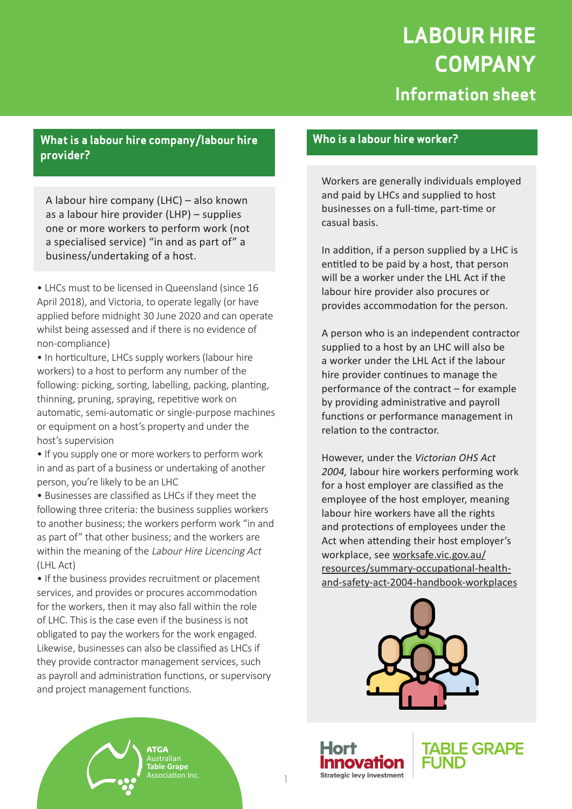# **LABOUR HIRE COMPANY Information sheet**

# **What is a labour hire company/labour hire provider?**

A labour hire company (LHC) – also known as a labour hire provider (LHP) – supplies one or more workers to perform work (not a specialised service) "in and as part of" a business/undertaking of a host.

• LHCs must to be licensed in Queensland (since 16 April 2018), and Victoria, to operate legally (or have applied before midnight 30 June 2020 and can operate whilst being assessed and if there is no evidence of non-compliance)

• In horticulture, LHCs supply workers (labour hire workers) to a host to perform any number of the following: picking, sorting, labelling, packing, planting, thinning, pruning, spraying, repetitive work on automatic, semi-automatic or single-purpose machines or equipment on a host's property and under the host's supervision

• If you supply one or more workers to perform work in and as part of a business or undertaking of another person, you're likely to be an LHC

• Businesses are classified as LHCs if they meet the following three criteria: the business supplies workers to another business; the workers perform work "in and as part of" that other business; and the workers are within the meaning of the Labour Hire Licencing Act (LHL Act)

• If the business provides recruitment or placement services, and provides or procures accommodation for the workers, then it may also fall within the role of LHC. This is the case even if the business is not obligated to pay the workers for the work engaged. Likewise, businesses can also be classified as LHCs if they provide contractor management services, such as payroll and administration functions, or supervisory and project management functions.

> **ATGA** Australian **Table Grape** Association Inc.

### **Who is a labour hire worker?**

Workers are generally individuals employed and paid by LHCs and supplied to host businesses on a full-time, part-time or casual basis.

In addition, if a person supplied by a LHC is entitled to be paid by a host, that person will be a worker under the LHL Act if the labour hire provider also procures or provides accommodation for the person.

A person who is an independent contractor supplied to a host by an LHC will also be a worker under the LHL Act if the labour hire provider continues to manage the performance of the contract – for example by providing administrative and payroll functions or performance management in relation to the contractor.

However, under the *Victorian OHS Act 2004,* labour hire workers performing work for a host employer are classified as the employee of the host employer, meaning labour hire workers have all the rights and protections of employees under the Act when attending their host employer's workplace, see worksafe.vic.gov.au/ resources/summary-occupational-healthand-safety-act-2004-handbook-workplaces



**Strategic levy investment** 



1